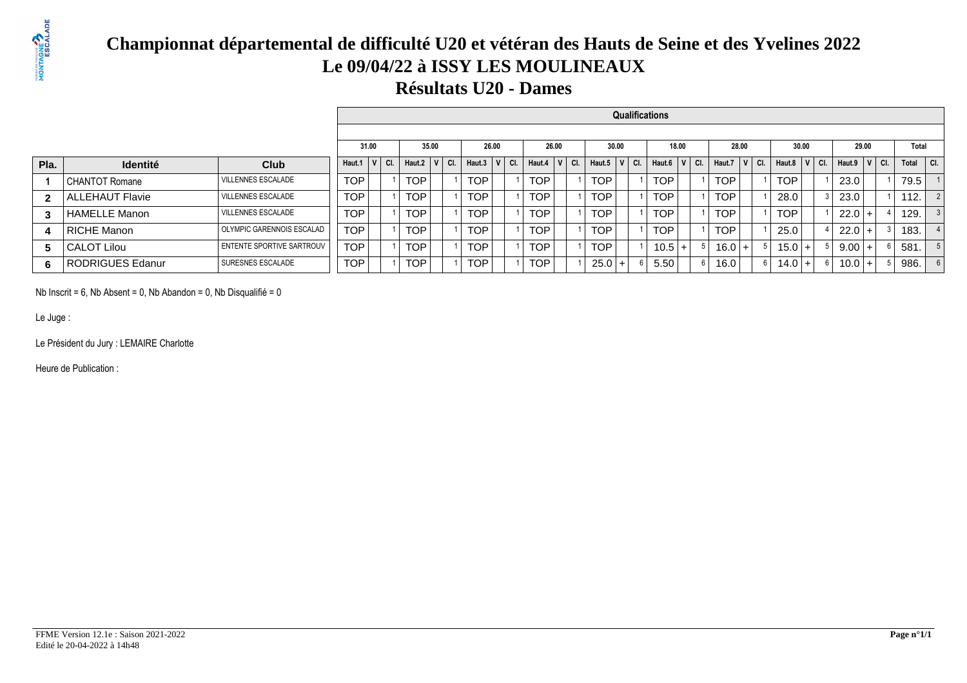### **Championnat départemental de difficulté U20 et vétéran des Hauts de Seine et des Yvelines 2022Le 09/04/22 à ISSY LES MOULINEAUX**

**Résultats U20 - Dames**

|                |                         |                            |            |              |     |            |                     |            |           |            |              |     |            |     | Qualifications   |       |   |                              |     |                  |       |     |          |           |              |     |
|----------------|-------------------------|----------------------------|------------|--------------|-----|------------|---------------------|------------|-----------|------------|--------------|-----|------------|-----|------------------|-------|---|------------------------------|-----|------------------|-------|-----|----------|-----------|--------------|-----|
|                |                         |                            |            |              |     |            |                     |            |           |            |              |     |            |     |                  |       |   |                              |     |                  |       |     |          |           |              |     |
|                |                         |                            |            | 31.00        |     | 35.00      |                     | 26.00      |           | 26.00      |              |     | 30.00      |     |                  | 18.00 |   | 28.00                        |     |                  | 30.00 |     |          | 29.00     | Total        |     |
| Pla.           | <b>Identité</b>         | <b>Club</b>                | Haut.1     | $\mathbf{v}$ | CI. | Haut.2     | CI.<br>$\mathsf{V}$ | Haut.3     | CI.<br>۱v | Haut.4     | $\mathsf{V}$ | CI. | Haut.5     | CI. | Haut.6 $ V $ Cl. |       |   | Haut.7 $\vert$ V $\vert$ Cl. |     | Haut. $8 \mid V$ |       | CI. | Haut.9   | $ V $ CI. | <b>Total</b> | CI. |
|                | <b>CHANTOT Romane</b>   | <b>VILLENNES ESCALADE</b>  | <b>TOP</b> |              |     | <b>TOP</b> |                     | <b>TOP</b> |           | <b>TOP</b> |              |     | <b>TOP</b> |     | <b>TOP</b>       |       |   | TOP                          |     | <b>TOP</b>       |       |     | 23.0     |           | 79.5         |     |
| $\overline{2}$ | <b>ALLEHAUT Flavie</b>  | <b>VILLENNES ESCALADE</b>  | <b>TOP</b> |              |     | <b>TOP</b> |                     | <b>TOP</b> |           | <b>TOP</b> |              |     | <b>TOP</b> |     | <b>TOP</b>       |       |   | <b>TOP</b>                   |     | 28.0             |       |     | 23.0     |           | 112.         |     |
| 3              | <b>HAMELLE Manon</b>    | <b>VILLENNES ESCALADE</b>  | TOP.       |              |     | TOP        |                     | <b>TOP</b> |           | <b>TOP</b> |              |     | <b>TOP</b> |     | <b>TOP</b>       |       |   | TOP                          |     | TOP              |       |     | 22.0     |           | 129.         |     |
|                | RICHE Manon             | OLYMPIC GARENNOIS ESCALAD  | <b>TOP</b> |              |     | TOP        |                     | <b>TOP</b> |           | <b>TOP</b> |              |     | TOP        |     | <b>TOP</b>       |       |   | TOP                          |     | 25.0             |       |     | 22.0     |           | 183.         |     |
| 5.             | <b>CALOT Lilou</b>      | LENTENTE SPORTIVE SARTROUV | TOP.       |              |     | <b>TOP</b> |                     | <b>TOP</b> |           | <b>TOP</b> |              |     | <b>TOP</b> |     | $10.5 +$         |       |   | $16.0 +$                     |     | 15.0             |       |     | 9.00     |           | 581          |     |
| 6              | <b>RODRIGUES Edanur</b> | SURESNES ESCALADE          | TOP.       |              |     | <b>TOP</b> |                     | <b>TOP</b> |           | <b>TOP</b> |              |     | 25.0       |     | 5.50             |       | 6 | 16.0                         | 6 I | 14.0             | +     |     | $10.0$ + |           | 986.         |     |

Nb Inscrit = 6, Nb Absent = 0, Nb Abandon = 0, Nb Disqualifié = 0

Le Juge :

Le Président du Jury : LEMAIRE Charlotte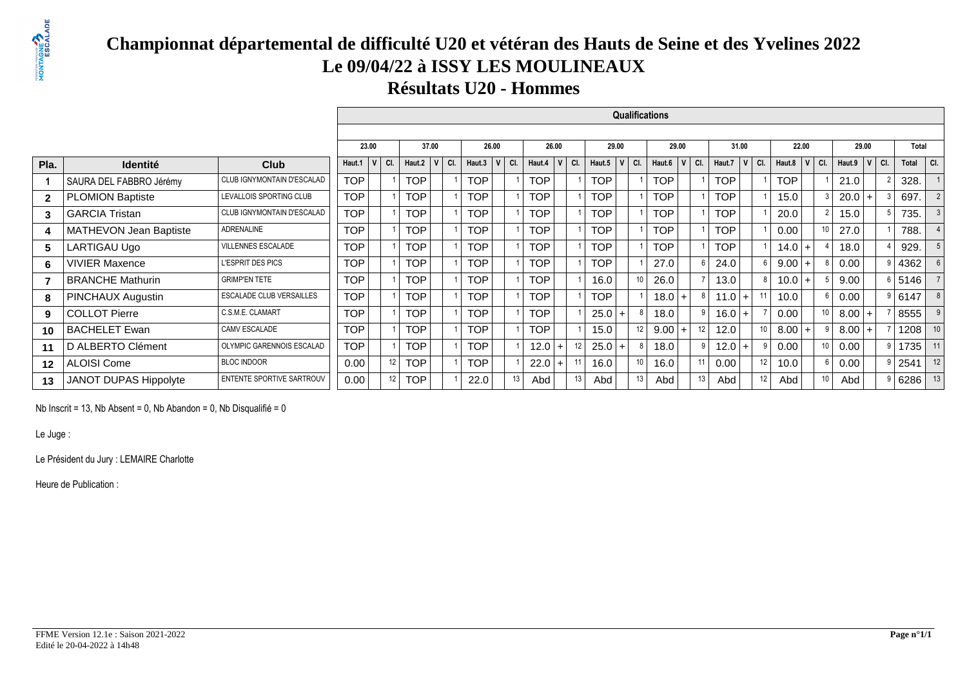### **Championnat départemental de difficulté U20 et vétéran des Hauts de Seine et des Yvelines 2022Le 09/04/22 à ISSY LES MOULINEAUX**

**Résultats U20 - Hommes**

|                |                         |                            |            |            |                 |            |              |     |            |         |    |                        |         |    |            |           |    | <b>Qualifications</b> |           |    |            |         |          |       |            |        |          |         |       |       |
|----------------|-------------------------|----------------------------|------------|------------|-----------------|------------|--------------|-----|------------|---------|----|------------------------|---------|----|------------|-----------|----|-----------------------|-----------|----|------------|---------|----------|-------|------------|--------|----------|---------|-------|-------|
|                |                         |                            |            |            |                 |            |              |     |            |         |    |                        |         |    |            |           |    |                       |           |    |            |         |          |       |            |        |          |         |       |       |
|                |                         |                            | 23.00      |            |                 | 37.00      |              |     | 26.00      |         |    | 26.00                  |         |    | 29.00      |           |    | 29.00                 |           |    | 31.00      |         |          | 22.00 |            |        | 29.00    |         | Total |       |
| Pla.           | <b>Identité</b>         | <b>Club</b>                | Haut.1     | $V$ $C$ I. |                 | Haut.2     | $\mathsf{v}$ | CI. | Haut.3     | $V$ CI. |    | Haut.4 $\vert$         | $V$ CI. |    | Haut.5     | $ V $ CI. |    | Haut.6                | $ V $ CI. |    | Haut.7     | $V$ CI. | Haut.8   |       | $V$ $C$ I. | Haut.9 |          | $V$ CI. | Total | l ci. |
|                | SAURA DEL FABBRO Jérémy | CLUB IGNYMONTAIN D'ESCALAD | <b>TOP</b> |            |                 | <b>TOP</b> |              |     | TOP        |         |    | <b>TOP</b>             |         |    | <b>TOP</b> |           |    | <b>TOP</b>            |           |    | TOP        |         | TOP      |       |            | 21.0   |          |         | 328.  |       |
| $\overline{2}$ | <b>PLOMION Baptiste</b> | LEVALLOIS SPORTING CLUB    | <b>TOP</b> |            |                 | <b>TOP</b> |              |     | <b>TOP</b> |         |    | <b>TOP</b>             |         |    | <b>TOP</b> |           |    | <b>TOP</b>            |           |    | <b>TOP</b> |         | 15.0     |       |            | 20.0   |          |         | 697.  |       |
| 3              | <b>GARCIA Tristan</b>   | CLUB IGNYMONTAIN D'ESCALAD | <b>TOP</b> |            |                 | <b>TOP</b> |              |     | <b>TOP</b> |         |    | <b>TOP</b>             |         |    | <b>TOP</b> |           |    | <b>TOP</b>            |           |    | <b>TOP</b> |         | 20.0     |       |            | 15.0   |          |         | 735.  |       |
| 4              | MATHEVON Jean Baptiste  | ADRENALINE                 | <b>TOP</b> |            |                 | <b>TOP</b> |              |     | <b>TOP</b> |         |    | <b>TOP</b>             |         |    | <b>TOP</b> |           |    | <b>TOP</b>            |           |    | <b>TOP</b> |         | 0.00     |       | 10         | 27.0   |          |         | 788.  |       |
| 5              | LARTIGAU Ugo            | <b>VILLENNES ESCALADE</b>  | <b>TOP</b> |            |                 | <b>TOP</b> |              |     | <b>TOP</b> |         |    | <b>TOP</b>             |         |    | <b>TOP</b> |           |    | <b>TOP</b>            |           |    | <b>TOP</b> |         | 14.0     |       |            | 18.0   |          |         | 929.  |       |
| 6              | <b>VIVIER Maxence</b>   | L'ESPRIT DES PICS          | <b>TOP</b> |            |                 | <b>TOP</b> |              |     | <b>TOP</b> |         |    | <b>TOP</b>             |         |    | <b>TOP</b> |           |    | 27.0                  |           |    | 24.0       |         | 9.00     |       |            | 0.00   |          |         | 4362  |       |
| $\overline{7}$ | <b>BRANCHE Mathurin</b> | <b>GRIMP'EN TETE</b>       | <b>TOP</b> |            |                 | <b>TOP</b> |              |     | <b>TOP</b> |         |    | <b>TOP</b>             |         |    | 16.0       |           | 10 | 26.0                  |           |    | 13.0       |         | $10.0$ + |       |            | 9.00   |          |         | 5146  |       |
| 8              | PINCHAUX Augustin       | ESCALADE CLUB VERSAILLES   | <b>TOP</b> |            |                 | TOP        |              |     | <b>TOP</b> |         |    | <b>TOP</b>             |         |    | <b>TOP</b> |           |    | 18.0                  |           |    | $11.0$ +   |         | 10.0     |       |            | 0.00   |          |         | 6147  |       |
| 9              | <b>COLLOT Pierre</b>    | C.S.M.E. CLAMART           | <b>TOP</b> |            |                 | <b>TOP</b> |              |     | <b>TOP</b> |         |    | <b>TOP</b>             |         |    | 25.0       | $+$       |    | 18.0                  |           |    | $16.0 +$   |         | 0.00     |       |            |        | $8.00 +$ |         | 8555  |       |
| 10             | <b>BACHELET Ewan</b>    | <b>CAMV ESCALADE</b>       | <b>TOP</b> |            |                 | <b>TOP</b> |              |     | <b>TOP</b> |         |    | <b>TOP</b>             |         |    | 15.0       |           | 12 | 9.00                  |           |    | 12.0       |         | 8.00     |       |            |        | $8.00 +$ |         | 1208  |       |
| 11             | D ALBERTO Clément       | OLYMPIC GARENNOIS ESCALAD  | <b>TOP</b> |            |                 | <b>TOP</b> |              |     | <b>TOP</b> |         |    | 12.0<br>$\overline{1}$ | 12      |    | 25.0       | $+$       |    | 18.0                  |           |    | $12.0 +$   |         | 0.00     |       |            | 0.00   |          |         | 1735  |       |
| $12 \,$        | ALOISI Come             | <b>BLOC INDOOR</b>         | 0.00       |            | 12              | <b>TOP</b> |              |     | <b>TOP</b> |         |    | 22.0<br>$+$            |         |    | 16.0       |           | 10 | 16.0                  |           |    | 0.00       | 12      | 10.0     |       |            | 0.00   |          |         | 2541  | 12    |
| 13             | JANOT DUPAS Hippolyte   | ENTENTE SPORTIVE SARTROUV  | 0.00       |            | 12 <sup>°</sup> | TOP        |              |     | 22.0       |         | 13 | Abd                    |         | 13 | Abd        |           | 13 | Abd                   |           | 13 | Abd        | 12      | Abd      |       |            | Abd    |          |         | 6286  | 13    |

Nb Inscrit = 13, Nb Absent = 0, Nb Abandon = 0, Nb Disqualifié = 0

Le Juge :

Le Président du Jury : LEMAIRE Charlotte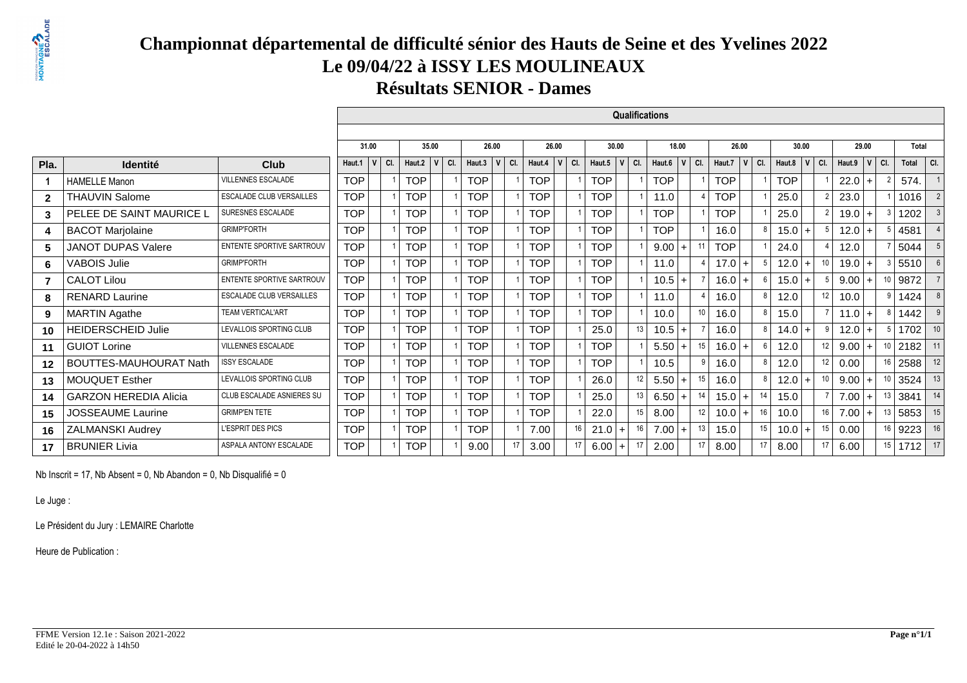#### **Championnat départemental de difficulté sénior des Hauts de Seine et des Yvelines 2022Le 09/04/22 à ISSY LES MOULINEAUXRésultats SENIOR - Dames**

 $\Box$ 

|                |                               |                                  |            |     |            |                |     |            |          |    |            |                         |    |                     |    | <b>Qualifications</b> |      |     |            |              |       |            |       |              |          |       |         |       |                  |
|----------------|-------------------------------|----------------------------------|------------|-----|------------|----------------|-----|------------|----------|----|------------|-------------------------|----|---------------------|----|-----------------------|------|-----|------------|--------------|-------|------------|-------|--------------|----------|-------|---------|-------|------------------|
|                |                               |                                  |            |     |            |                |     |            |          |    |            |                         |    |                     |    |                       |      |     |            |              |       |            |       |              |          |       |         |       |                  |
|                |                               |                                  | 31.00      |     | 35.00      |                |     | 26.00      |          |    | 26.00      |                         |    | 30.00               |    | 18.00                 |      |     | 26.00      |              |       |            | 30.00 |              |          | 29.00 |         | Total |                  |
| Pla.           | <b>Identité</b>               | Club                             | Haut.1     | CI. | Haut.2     | V <sub>1</sub> | CI. | Haut.3     | V<br>CI. |    | Haut.4     | $\mathsf{v}$<br>$ $ CI. |    | $ v $ CI.<br>Haut.5 |    | Haut.6                |      | CI. | Haut.7     | $\mathsf{v}$ | l ci. | Haut.8     |       | $V$ $C$ I.   | Haut.9   |       | $ $ CI. | Total | $ $ CI.          |
|                | <b>HAMELLE Manon</b>          | <b>VILLENNES ESCALADE</b>        | <b>TOP</b> |     | <b>TOP</b> |                |     | <b>TOP</b> |          |    | <b>TOP</b> |                         |    | <b>TOP</b>          |    | <b>TOP</b>            |      |     | <b>TOP</b> |              |       | <b>TOP</b> |       |              | 22.0     |       |         | 574.  |                  |
| $\overline{2}$ | <b>THAUVIN Salome</b>         | <b>ESCALADE CLUB VERSAILLES</b>  | <b>TOP</b> |     | <b>TOP</b> |                |     | <b>TOP</b> |          |    | <b>TOP</b> |                         |    | <b>TOP</b>          |    | 11.0                  |      |     | <b>TOP</b> |              |       | 25.0       |       |              | 23.0     |       |         | 1016  |                  |
| 3              | PELEE DE SAINT MAURICE L      | SURESNES ESCALADE                | <b>TOP</b> |     | <b>TOP</b> |                |     | <b>TOP</b> |          |    | <b>TOP</b> |                         |    | <b>TOP</b>          |    | <b>TOP</b>            |      |     | <b>TOP</b> |              |       | 25.0       |       |              | $19.0 +$ |       |         | 1202  |                  |
| 4              | <b>BACOT Marjolaine</b>       | <b>GRIMP'FORTH</b>               | <b>TOP</b> |     | <b>TOP</b> |                |     | <b>TOP</b> |          |    | <b>TOP</b> |                         |    | <b>TOP</b>          |    | <b>TOP</b>            |      |     | 16.0       |              |       | $15.0 +$   |       |              | $12.0 +$ |       |         | 4581  |                  |
| 5              | <b>JANOT DUPAS Valere</b>     | <b>ENTENTE SPORTIVE SARTROUV</b> | <b>TOP</b> |     | <b>TOP</b> |                |     | <b>TOP</b> |          |    | <b>TOP</b> |                         |    | <b>TOP</b>          |    | 9.00                  |      |     | <b>TOP</b> |              |       | 24.0       |       |              | 12.0     |       |         | 5044  |                  |
| 6              | <b>VABOIS Julie</b>           | <b>GRIMP'FORTH</b>               | <b>TOP</b> |     | <b>TOP</b> |                |     | <b>TOP</b> |          |    | <b>TOP</b> |                         |    | <b>TOP</b>          |    | 11.0                  |      |     | 17.0       | $+$          |       | 12.0       |       |              | $19.0 +$ |       |         | 5510  |                  |
| $\overline{7}$ | <b>CALOT Lilou</b>            | <b>ENTENTE SPORTIVE SARTROUV</b> | <b>TOP</b> |     | <b>TOP</b> |                |     | <b>TOP</b> |          |    | <b>TOP</b> |                         |    | <b>TOP</b>          |    | $10.5$ +              |      |     | 16.0       | $+$          |       | 15.0       |       |              | $9.00 +$ |       |         | 9872  |                  |
| 8              | <b>RENARD Laurine</b>         | <b>ESCALADE CLUB VERSAILLES</b>  | <b>TOP</b> |     | <b>TOP</b> |                |     | <b>TOP</b> |          |    | <b>TOP</b> |                         |    | <b>TOP</b>          |    | 11.0                  |      |     | 16.0       |              |       | 12.0       |       | 12           | 10.0     |       | 9 I     | 1424  |                  |
| 9              | <b>MARTIN Agathe</b>          | <b>TEAM VERTICAL'ART</b>         | <b>TOP</b> |     | <b>TOP</b> |                |     | <b>TOP</b> |          |    | <b>TOP</b> |                         |    | <b>TOP</b>          |    | 10.0                  |      | 10  | 16.0       |              |       | 15.0       |       |              | $11.0 +$ |       |         | 1442  |                  |
| 10             | <b>HEIDERSCHEID Julie</b>     | LEVALLOIS SPORTING CLUB          | <b>TOP</b> |     | <b>TOP</b> |                |     | <b>TOP</b> |          |    | <b>TOP</b> |                         |    | 25.0                | 13 | $10.5$ +              |      |     | 16.0       |              | 8 I   | 14.0       |       | $\mathbf{9}$ | 12.0     |       |         | 1702  | 10 <sup>10</sup> |
| 11             | <b>GUIOT Lorine</b>           | <b>VILLENNES ESCALADE</b>        | <b>TOP</b> |     | <b>TOP</b> |                |     | <b>TOP</b> |          |    | <b>TOP</b> |                         |    | <b>TOP</b>          |    | $5.50$ +              |      | 15  | 16.0       | $+$          |       | 12.0       |       | 12           | 9.00     |       |         | 2182  | 11               |
| $12 \,$        | <b>BOUTTES-MAUHOURAT Nath</b> | <b>ISSY ESCALADE</b>             | <b>TOP</b> |     | <b>TOP</b> |                |     | <b>TOP</b> |          |    | <b>TOP</b> |                         |    | <b>TOP</b>          |    | 10.5                  |      |     | 16.0       |              |       | 12.0       |       |              | 0.00     |       |         | 2588  | 12               |
| 13             | <b>MOUQUET Esther</b>         | LEVALLOIS SPORTING CLUB          | <b>TOP</b> |     | <b>TOP</b> |                |     | <b>TOP</b> |          |    | <b>TOP</b> |                         |    | 26.0                | 12 | 5.50                  | $+1$ | 15  | 16.0       |              |       | 12.0       |       |              | 9.00     |       |         | 3524  | 13               |
| 14             | <b>GARZON HEREDIA Alicia</b>  | CLUB ESCALADE ASNIERES SU        | <b>TOP</b> |     | <b>TOP</b> |                |     | <b>TOP</b> |          |    | <b>TOP</b> |                         |    | 25.0                | 13 | 6.50                  |      | 14  | $15.0 +$   |              |       | 15.0       |       |              | 7.00     |       |         | 3841  | 14               |
| 15             | <b>JOSSEAUME Laurine</b>      | <b>GRIMP'EN TETE</b>             | <b>TOP</b> |     | <b>TOP</b> |                |     | <b>TOP</b> |          |    | <b>TOP</b> |                         |    | 22.0                | 15 | 8.00                  |      | 12  | 10.0       | $+$          |       | 10.0       |       | 16 I         | 7.00     |       |         | 5853  | 15               |
| 16             | <b>ZALMANSKI Audrey</b>       | <b>L'ESPRIT DES PICS</b>         | <b>TOP</b> |     | <b>TOP</b> |                |     | <b>TOP</b> |          |    | 7.00       |                         | 16 | 21.0<br>$\ddot{}$   | 16 | 7.00                  |      | 13  | 15.0       |              | 15    | 10.0       |       | 15           | 0.00     |       |         | 9223  | 16               |
| 17             | <b>BRUNIER Livia</b>          | ASPALA ANTONY ESCALADE           | <b>TOP</b> |     | TOP.       |                |     | 9.00       |          | 17 | 3.00       |                         | 17 | 6.00<br>$\ddot{+}$  |    | 2.00                  |      |     | 8.00       |              |       | 8.00       |       |              | 6.00     |       | 15      | 1712  | 17               |

Nb Inscrit = 17, Nb Absent = 0, Nb Abandon = 0, Nb Disqualifié =  $0$ 

Le Juge :

Le Président du Jury : LEMAIRE Charlotte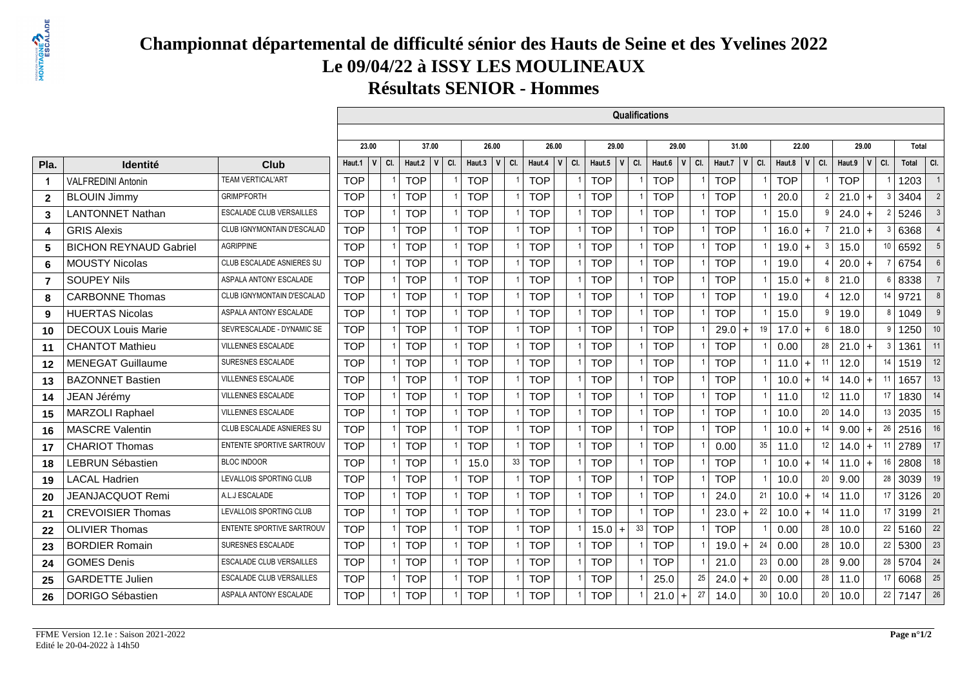#### **Championnat départemental de difficulté sénior des Hauts de Seine et des Yvelines 2022Le 09/04/22 à ISSY LES MOULINEAUXRésultats SENIOR - Hommes**

 $\sim$ 

|                |                               |                                  |            |                     |                  |       |     |              |     |            |                     |              |     | Qualifications |     |            |           |            |       |               |            |              |                 |                |                 |
|----------------|-------------------------------|----------------------------------|------------|---------------------|------------------|-------|-----|--------------|-----|------------|---------------------|--------------|-----|----------------|-----|------------|-----------|------------|-------|---------------|------------|--------------|-----------------|----------------|-----------------|
|                |                               |                                  |            |                     |                  |       |     |              |     |            |                     |              |     |                |     |            |           |            |       |               |            |              |                 |                |                 |
|                |                               |                                  | 23.00      |                     |                  | 37.00 |     | 26.00        |     |            | 26.00               | 29.00        |     | 29.00          |     |            | 31.00     |            | 22.00 |               |            | 29.00        |                 | Total          |                 |
| Pla.           | Identité                      | <b>Club</b>                      | Haut.1     | $\mathsf{V}$<br>CI. | Haut.2 $\vert$ V |       | CI. | Haut.3 $ V $ | CI. | Haut.4     | $\mathsf{I}$<br>CI. | Haut.5 $ V $ | CI. | Haut.6 $ V $   | CI. | Haut.7     | v <br>CI. | Haut.8     | V     | CI.           | Haut.9     | $\mathsf{v}$ | CI.             | Total          | CI.             |
| $\mathbf 1$    | <b>VALFREDINI Antonin</b>     | <b>TEAM VERTICAL'ART</b>         | <b>TOP</b> |                     | <b>TOP</b>       |       |     | <b>TOP</b>   |     | <b>TOP</b> |                     | <b>TOP</b>   |     | <b>TOP</b>     |     | <b>TOP</b> |           | <b>TOP</b> |       |               | <b>TOP</b> |              |                 | 1203           |                 |
| $\overline{2}$ | <b>BLOUIN Jimmy</b>           | <b>GRIMP'FORTH</b>               | <b>TOP</b> |                     | <b>TOP</b>       |       |     | <b>TOP</b>   |     | <b>TOP</b> |                     | <b>TOP</b>   |     | <b>TOP</b>     |     | <b>TOP</b> |           | 20.0       |       | $\mathcal{P}$ | 21.0       | $+$          | 3               | 3404           | 2               |
| 3              | <b>LANTONNET Nathan</b>       | <b>ESCALADE CLUB VERSAILLES</b>  | <b>TOP</b> |                     | <b>TOP</b>       |       |     | <b>TOP</b>   |     | <b>TOP</b> |                     | <b>TOP</b>   |     | <b>TOP</b>     |     | <b>TOP</b> |           | 15.0       |       | 9             | 24.0       | $\ddot{}$    | $\overline{2}$  | 5246           |                 |
| 4              | <b>GRIS Alexis</b>            | CLUB IGNYMONTAIN D'ESCALAD       | <b>TOP</b> |                     | <b>TOP</b>       |       |     | <b>TOP</b>   |     | <b>TOP</b> |                     | <b>TOP</b>   |     | <b>TOP</b>     |     | <b>TOP</b> |           | 16.0       | $+$   |               | 21.0       | $\ddot{}$    | 3               | 6368           |                 |
| 5              | <b>BICHON REYNAUD Gabriel</b> | <b>AGRIPPINE</b>                 | <b>TOP</b> |                     | <b>TOP</b>       |       |     | <b>TOP</b>   |     | <b>TOP</b> |                     | <b>TOP</b>   |     | <b>TOP</b>     |     | <b>TOP</b> |           | 19.0       | $+$   | -3            | 15.0       |              |                 | 10 6592        |                 |
| 6              | <b>MOUSTY Nicolas</b>         | <b>CLUB ESCALADE ASNIERES SU</b> | <b>TOP</b> |                     | <b>TOP</b>       |       |     | <b>TOP</b>   |     | <b>TOP</b> |                     | <b>TOP</b>   |     | <b>TOP</b>     |     | <b>TOP</b> |           | 19.0       |       |               | 20.0       | $+$          |                 | 6754           | $6\overline{6}$ |
| $\overline{7}$ | <b>SOUPEY Nils</b>            | ASPALA ANTONY ESCALADE           | <b>TOP</b> |                     | <b>TOP</b>       |       |     | <b>TOP</b>   |     | <b>TOP</b> |                     | <b>TOP</b>   |     | <b>TOP</b>     |     | <b>TOP</b> |           | $15.0 +$   |       |               | 21.0       |              | 6               | 8338           |                 |
| 8              | <b>CARBONNE Thomas</b>        | CLUB IGNYMONTAIN D'ESCALAD       | <b>TOP</b> |                     | <b>TOP</b>       |       |     | <b>TOP</b>   |     | <b>TOP</b> |                     | <b>TOP</b>   |     | <b>TOP</b>     |     | <b>TOP</b> |           | 19.0       |       |               | 12.0       |              |                 | 14 9721        | 8               |
| 9              | <b>HUERTAS Nicolas</b>        | ASPALA ANTONY ESCALADE           | <b>TOP</b> |                     | <b>TOP</b>       |       |     | <b>TOP</b>   |     | <b>TOP</b> |                     | <b>TOP</b>   |     | <b>TOP</b>     |     | <b>TOP</b> |           | 15.0       |       | 9             | 19.0       |              |                 | 8 1049         | $\overline{9}$  |
| 10             | <b>DECOUX Louis Marie</b>     | SEVR'ESCALADE - DYNAMIC SE       | <b>TOP</b> |                     | <b>TOP</b>       |       |     | <b>TOP</b>   |     | <b>TOP</b> |                     | <b>TOP</b>   |     | <b>TOP</b>     |     | 29.0       | 19        | $17.0 +$   |       | -6            | 18.0       |              |                 | 9 1250         | $10$            |
| 11             | <b>CHANTOT Mathieu</b>        | <b>VILLENNES ESCALADE</b>        | <b>TOP</b> |                     | <b>TOP</b>       |       |     | <b>TOP</b>   |     | <b>TOP</b> |                     | <b>TOP</b>   |     | <b>TOP</b>     |     | <b>TOP</b> |           | 0.00       |       | 28            | 21.0       | $\ddot{}$    | 3               | 1361           | 11              |
| 12             | <b>MENEGAT Guillaume</b>      | SURESNES ESCALADE                | <b>TOP</b> |                     | <b>TOP</b>       |       |     | <b>TOP</b>   |     | <b>TOP</b> |                     | <b>TOP</b>   |     | <b>TOP</b>     |     | <b>TOP</b> |           | $11.0$ +   |       | 11            | 12.0       |              | 14              | 1519           | 12              |
| 13             | <b>BAZONNET Bastien</b>       | <b>VILLENNES ESCALADE</b>        | <b>TOP</b> |                     | <b>TOP</b>       |       |     | <b>TOP</b>   |     | <b>TOP</b> |                     | <b>TOP</b>   |     | <b>TOP</b>     |     | <b>TOP</b> |           | $10.0$ +   |       | 14            | 14.0       | $+$          | 11 <sup>1</sup> | 1657           | 13              |
| 14             | JEAN Jérémy                   | <b>VILLENNES ESCALADE</b>        | <b>TOP</b> |                     | <b>TOP</b>       |       |     | <b>TOP</b>   |     | <b>TOP</b> |                     | <b>TOP</b>   |     | <b>TOP</b>     |     | <b>TOP</b> |           | 11.0       |       | 12            | 11.0       |              | 17 <sup>1</sup> | 1830           | 14              |
| 15             | <b>MARZOLI Raphael</b>        | <b>VILLENNES ESCALADE</b>        | <b>TOP</b> |                     | <b>TOP</b>       |       |     | <b>TOP</b>   |     | <b>TOP</b> |                     | <b>TOP</b>   |     | <b>TOP</b>     |     | <b>TOP</b> |           | 10.0       |       | 20            | 14.0       |              |                 | $13 \mid 2035$ | 15              |
| 16             | <b>MASCRE Valentin</b>        | CLUB ESCALADE ASNIERES SU        | <b>TOP</b> |                     | <b>TOP</b>       |       |     | <b>TOP</b>   |     | <b>TOP</b> |                     | <b>TOP</b>   |     | <b>TOP</b>     |     | <b>TOP</b> |           | 10.0       | $+$   | 14            | 9.00       | $+$          | 26              | 2516           | 16              |
| 17             | <b>CHARIOT Thomas</b>         | ENTENTE SPORTIVE SARTROUV        | <b>TOP</b> |                     | <b>TOP</b>       |       |     | <b>TOP</b>   |     | <b>TOP</b> |                     | <b>TOP</b>   |     | <b>TOP</b>     |     | 0.00       | 35        | 11.0       |       | 12            | 14.0       | $+$          | 11              | 2789           | 17              |
| 18             | <b>LEBRUN Sébastien</b>       | <b>BLOC INDOOR</b>               | <b>TOP</b> |                     | <b>TOP</b>       |       |     | 15.0         | 33  | <b>TOP</b> |                     | <b>TOP</b>   |     | <b>TOP</b>     |     | <b>TOP</b> |           | 10.0       | $+$   | 14            | 11.0       | $+$          | 16              | 2808           | 18              |
| 19             | <b>LACAL Hadrien</b>          | LEVALLOIS SPORTING CLUB          | <b>TOP</b> |                     | <b>TOP</b>       |       |     | <b>TOP</b>   |     | <b>TOP</b> |                     | <b>TOP</b>   |     | <b>TOP</b>     |     | <b>TOP</b> |           | 10.0       |       | 20            | 9.00       |              | 28              | 3039           | 19              |
| 20             | <b>JEANJACQUOT Remi</b>       | A.L.J ESCALADE                   | <b>TOP</b> |                     | <b>TOP</b>       |       |     | <b>TOP</b>   |     | <b>TOP</b> |                     | <b>TOP</b>   |     | <b>TOP</b>     |     | 24.0       | 21        | $10.0$ +   |       | 14            | 11.0       |              | 17 <sup>1</sup> | 3126           | 20              |
| 21             | <b>CREVOISIER Thomas</b>      | LEVALLOIS SPORTING CLUB          | <b>TOP</b> |                     | <b>TOP</b>       |       |     | <b>TOP</b>   |     | <b>TOP</b> |                     | <b>TOP</b>   |     | <b>TOP</b>     |     | 23.0       | 22        | $10.0 +$   |       | 14            | 11.0       |              | 17              | 3199           | 21              |
| 22             | <b>OLIVIER Thomas</b>         | ENTENTE SPORTIVE SARTROUV        | <b>TOP</b> |                     | <b>TOP</b>       |       |     | <b>TOP</b>   |     | <b>TOP</b> |                     | 15.0<br>$+$  | 33  | <b>TOP</b>     |     | <b>TOP</b> |           | 0.00       |       | 28            | 10.0       |              | 22              | 5160           | 22              |
| 23             | <b>BORDIER Romain</b>         | SURESNES ESCALADE                | <b>TOP</b> |                     | <b>TOP</b>       |       |     | <b>TOP</b>   |     | <b>TOP</b> |                     | <b>TOP</b>   |     | <b>TOP</b>     |     | 19.0       | 24        | 0.00       |       | 28            | 10.0       |              | 22              | 5300           | 23              |
| 24             | <b>GOMES Denis</b>            | ESCALADE CLUB VERSAILLES         | <b>TOP</b> |                     | <b>TOP</b>       |       |     | <b>TOP</b>   |     | <b>TOP</b> |                     | <b>TOP</b>   |     | <b>TOP</b>     |     | 21.0       | 23        | 0.00       |       | 28            | 9.00       |              | 28              | 5704           | 24              |
| 25             | <b>GARDETTE Julien</b>        | <b>ESCALADE CLUB VERSAILLES</b>  | <b>TOP</b> |                     | <b>TOP</b>       |       |     | <b>TOP</b>   |     | <b>TOP</b> |                     | <b>TOP</b>   |     | 25.0           | 25  | 24.0       | 20        | 0.00       |       | 28            | 11.0       |              | 17              | 6068           | 25              |
| 26             | <b>DORIGO Sébastien</b>       | ASPALA ANTONY ESCALADE           | <b>TOP</b> |                     | <b>TOP</b>       |       |     | <b>TOP</b>   |     | <b>TOP</b> |                     | <b>TOP</b>   |     | 21.0           | 27  | 14.0       | 30        | 10.0       |       | 20            | 10.0       |              |                 | $22$ 7147      | 26              |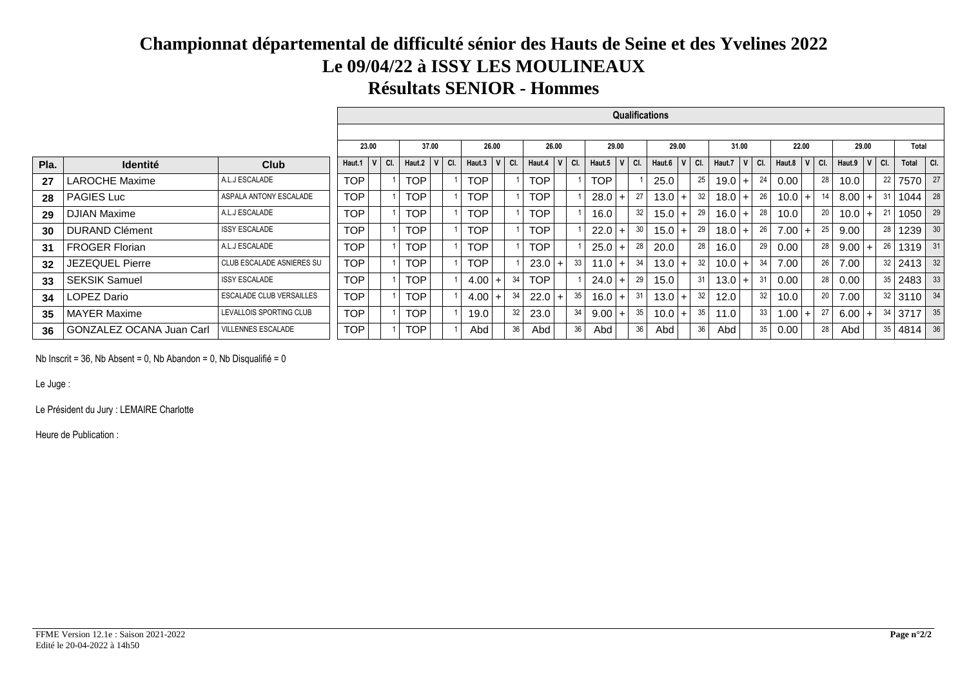#### **Championnat départemental de difficulté sénior des Hauts de Seine et des Yvelines 2022Le 09/04/22 à ISSY LES MOULINEAUXRésultats SENIOR - Hommes**

|                 |                          |                                 |            |                     |                  |  |                  |    |            |           |                  |     | <b>Qualifications</b> |    |          |         |    |                  |     |                 |              |       |      |                        |         |
|-----------------|--------------------------|---------------------------------|------------|---------------------|------------------|--|------------------|----|------------|-----------|------------------|-----|-----------------------|----|----------|---------|----|------------------|-----|-----------------|--------------|-------|------|------------------------|---------|
|                 |                          |                                 |            |                     |                  |  |                  |    |            |           |                  |     |                       |    |          |         |    |                  |     |                 |              |       |      |                        |         |
|                 |                          |                                 |            | 23.00               | 37.00            |  | 26.00            |    | 26.00      |           | 29.00            |     | 29.00                 |    | 31.00    |         |    | 22.00            |     |                 |              | 29.00 |      | Total                  |         |
| Pla.            | <b>Identité</b>          | <b>Club</b>                     | Haut.1     | $\mathsf{V}$<br>CI. | Haut.2 $ V $ Cl. |  | Haut.3 $ V $ Cl. |    | Haut.4     | $ V $ CI. | Haut.5 $ V $ Cl. |     | Haut.6 $ V $ Cl.      |    | Haut.7   | $V$ CI. |    | Haut.8 $ V $ Cl. |     |                 | Haut.9 $ V $ |       | CI.  | Total                  | $ $ CI. |
| 27              | <b>LAROCHE Maxime</b>    | A.L.J ESCALADE                  | TOP.       |                     | TOP              |  | <b>TOP</b>       |    | <b>TOP</b> |           | <b>TOP</b>       |     | 25.0                  | 25 | 19.0     |         | 24 | 0.00             |     | 28              | 10.0         |       | 22   | 7570                   | 27      |
| 28              | <b>PAGIES Luc</b>        | ASPALA ANTONY ESCALADE          | TOP.       |                     | <b>TOP</b>       |  | TOP              |    | TOP        |           | $28.0 +$         | -27 | $13.0 +$              | 32 | $18.0 +$ |         | 26 | 10.0             | $+$ |                 | $8.00 +$     |       | 31   | 1044                   | 28      |
| 29              | <b>DJIAN Maxime</b>      | A.L.J ESCALADE                  | <b>TOP</b> |                     | <b>TOP</b>       |  | TOP              |    | <b>TOP</b> |           | 16.0             | 32  | $15.0 +$              | 29 | $16.0 +$ |         | 28 | 10.0             |     | 20              | $10.0$   +   |       | 21   | 1050                   | 29      |
| 30              | <b>DURAND Clément</b>    | <b>ISSY ESCALADE</b>            | <b>TOP</b> |                     | <b>TOP</b>       |  | <b>TOP</b>       |    | <b>TOP</b> |           | $22.0$ +         | 30  | $15.0 +$              | 29 | $18.0 +$ |         | 26 | 7.00             |     | 25              | 9.00         |       | 28   | 1239                   | 30      |
| 31              | <b>FROGER Florian</b>    | A.L.J ESCALADE                  | TOP        |                     | <b>TOP</b>       |  | TOP              |    | TOP        |           | $25.0$ +         | 28  | 20.0                  | 28 | 16.0     |         | 29 | 0.00             |     | 28              | $9.00 +$     |       |      | $26$   1319            | 31      |
| $32\phantom{a}$ | <b>JEZEQUEL Pierre</b>   | CLUB ESCALADE ASNIERES SU       | TOP        |                     | TOP              |  | <b>TOP</b>       |    | 23.0       | 33        | $11.0 +$         | -34 | $13.0 +$              | 32 | 10.0     | $+$     | 34 | 7.00             |     | 26              | 7.00         |       |      | $32$   2413            | 32      |
| 33              | <b>SEKSIK Samuel</b>     | <b>ISSY ESCALADE</b>            | <b>TOP</b> |                     | <b>TOP</b>       |  | $4.00 +$         | 34 | TOP.       |           | $24.0$ +         | 29  | 15.0                  |    | $13.0 +$ |         |    | 0.00             |     | 28              | 0.00         |       | 35   | 2483                   | 33      |
| 34              | LOPEZ Dario              | <b>ESCALADE CLUB VERSAILLES</b> | <b>TOP</b> |                     | TOP              |  | $4.00 +$         | 34 | $22.0$ +   | 35        | $16.0$ +         | 31  | $13.0 +$              | 32 | 12.0     |         | 32 | 10.0             |     | 20 <sup>1</sup> | 7.00         |       |      | $32 \mid 3110 \mid 34$ |         |
| 35              | <b>MAYER Maxime</b>      | LEVALLOIS SPORTING CLUB         | <b>TOP</b> |                     | TOP              |  | 19.0             | 32 | 23.0       | 34        | $9.00 +$         | 35  | $10.0$ +              | 35 | 11.0     |         | 33 | 1.00             |     |                 | $6.00 +$     |       | 34 I | 3717                   | 35      |
| 36              | GONZALEZ OCANA Juan Carl | <b>VILLENNES ESCALADE</b>       | TOP        |                     | TOP              |  | Abd              | 36 | Abd        | 36        | Abd              | 36  | Abd                   | 36 | Abd      |         | 35 | 0.00             |     | 28              | Abd          |       |      | 35 4814                | 36      |

Nb Inscrit = 36, Nb Absent = 0, Nb Abandon = 0, Nb Disqualifié = 0

Le Juge :

Le Président du Jury : LEMAIRE Charlotte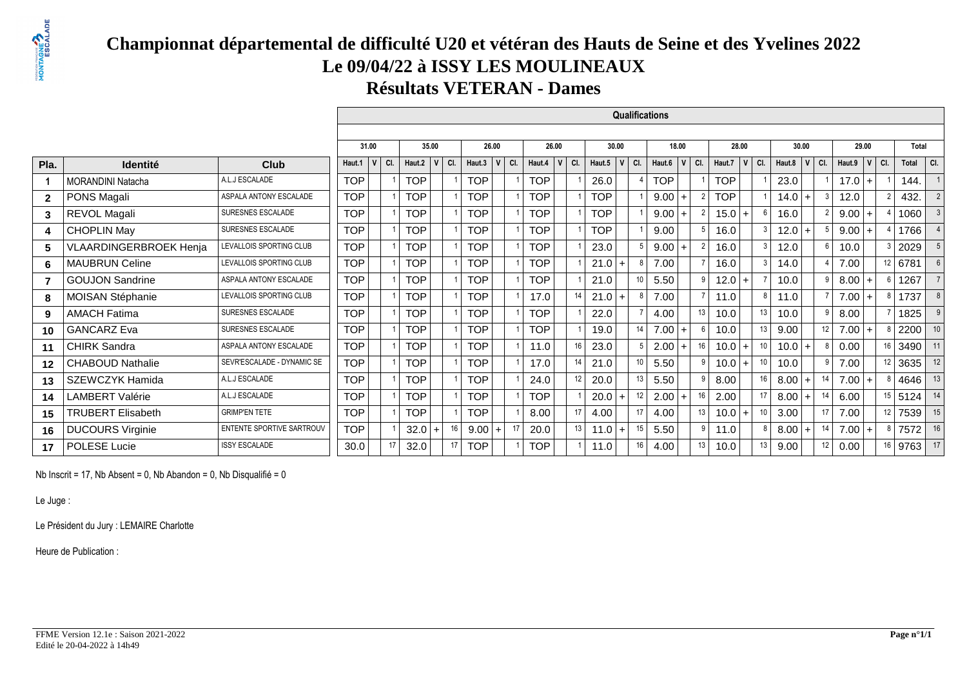#### **Championnat départemental de difficulté U20 et vétéran des Hauts de Seine et des Yvelines 2022Le 09/04/22 à ISSY LES MOULINEAUXRésultats VETERAN - Dames**

 $\sqrt{2}$ 

|                |                               |                                  |            |       |     |                |         |                        |     |            |           |            |       |                | <b>Qualifications</b> |         |                |            |         |           |         |    |          |                |                 |           |                  |
|----------------|-------------------------------|----------------------------------|------------|-------|-----|----------------|---------|------------------------|-----|------------|-----------|------------|-------|----------------|-----------------------|---------|----------------|------------|---------|-----------|---------|----|----------|----------------|-----------------|-----------|------------------|
|                |                               |                                  |            |       |     |                |         |                        |     |            |           |            |       |                |                       |         |                |            |         |           |         |    |          |                |                 |           |                  |
|                |                               |                                  |            | 31.00 |     | 35.00          |         | 26.00                  |     |            | 26.00     |            | 30.00 |                | 18.00                 |         |                | 28.00      |         | 30.00     |         |    |          | 29.00          |                 | Total     |                  |
| Pla.           | <b>Identité</b>               | <b>Club</b>                      | Haut.1     |       | CI. | Haut.2         | $V$ CI. | Haut.3<br>$\mathsf{V}$ | CI. | Haut.4     | $ V $ CI. | Haut.5     |       | CI.            | Haut.6                | v   cı. |                | Haut.7     | $V$ CI. | Haut.8    | V   CI. |    | Haut.9   | V <sub>1</sub> | CI.             | Total     | $ $ CI.          |
|                | <b>MORANDINI Natacha</b>      | A.L.J ESCALADE                   | <b>TOP</b> |       |     | <b>TOP</b>     |         | <b>TOP</b>             |     | <b>TOP</b> |           | 26.0       |       |                | <b>TOP</b>            |         |                | <b>TOP</b> |         | 23.0      |         |    | 17.0     | $+$            |                 | 144.      |                  |
| $\mathbf{2}$   | PONS Magali                   | ASPALA ANTONY ESCALADE           | <b>TOP</b> |       |     | <b>TOP</b>     |         | <b>TOP</b>             |     | <b>TOP</b> |           | <b>TOP</b> |       |                | 9.00                  | $+$     |                | <b>TOP</b> |         | 14.0      | $+$     |    | 12.0     |                |                 | 432.      |                  |
| 3              | REVOL Magali                  | <b>SURESNES ESCALADE</b>         | <b>TOP</b> |       |     | <b>TOP</b>     |         | <b>TOP</b>             |     | <b>TOP</b> |           | <b>TOP</b> |       |                | 9.00                  |         |                | $15.0 +$   |         | 16.0      |         |    | $9.00 +$ |                |                 | 1060      |                  |
| 4              | <b>CHOPLIN May</b>            | <b>SURESNES ESCALADE</b>         | <b>TOP</b> |       |     | <b>TOP</b>     |         | <b>TOP</b>             |     | <b>TOP</b> |           | <b>TOP</b> |       |                | 9.00                  |         |                | 16.0       |         | 12.0      | $+$     |    | $9.00 +$ |                | 4 I             | 1766      |                  |
| 5              | <b>VLAARDINGERBROEK Henja</b> | <b>LEVALLOIS SPORTING CLUB</b>   | <b>TOP</b> |       |     | <b>TOP</b>     |         | <b>TOP</b>             |     | <b>TOP</b> |           | 23.0       |       |                | 9.00                  |         |                | 16.0       |         | 12.0      |         |    | 10.0     |                |                 | 3 2029    |                  |
| 6              | <b>MAUBRUN Celine</b>         | LEVALLOIS SPORTING CLUB          | <b>TOP</b> |       |     | <b>TOP</b>     |         | <b>TOP</b>             |     | <b>TOP</b> |           | $21.0$ +   |       |                | 7.00                  |         |                | 16.0       | 3       | 14.0      |         |    | 7.00     |                |                 | 12   6781 |                  |
| $\overline{7}$ | <b>GOUJON Sandrine</b>        | ASPALA ANTONY ESCALADE           | <b>TOP</b> |       |     | <b>TOP</b>     |         | <b>TOP</b>             |     | <b>TOP</b> |           | 21.0       |       | 1 <sup>1</sup> | 5.50                  |         |                | $12.0 +$   |         | 10.0      |         |    | $8.00 +$ |                | 6 <sup>1</sup>  | 1267      |                  |
| 8              | MOISAN Stéphanie              | LEVALLOIS SPORTING CLUB          | <b>TOP</b> |       |     | <b>TOP</b>     |         | <b>TOP</b>             |     | 17.0       | 14        | $21.0$ +   |       |                | 7.00                  |         |                | 11.0       |         | 11.0<br>8 |         |    | $7.00 +$ |                |                 | 8 1737    |                  |
| 9              | <b>AMACH Fatima</b>           | SURESNES ESCALADE                | <b>TOP</b> |       |     | <b>TOP</b>     |         | <b>TOP</b>             |     | <b>TOP</b> |           | 22.0       |       |                | 4.00                  |         |                | 10.0       | 13 I    | 10.0      |         | 9  | 8.00     |                |                 | 1825      |                  |
| 10             | <b>GANCARZ Eva</b>            | <b>SURESNES ESCALADE</b>         | <b>TOP</b> |       |     | <b>TOP</b>     |         | <b>TOP</b>             |     | <b>TOP</b> |           | 19.0       |       | 14             | 7.00                  |         |                | 10.0       | 13      | 9.00      |         | 12 | 7.00     |                |                 | $8$ 2200  | 10 <sup>10</sup> |
| 11             | <b>CHIRK Sandra</b>           | ASPALA ANTONY ESCALADE           | <b>TOP</b> |       |     | <b>TOP</b>     |         | <b>TOP</b>             |     | 11.0       | 16        | 23.0       |       |                | 2.00                  |         |                | 10.0       | 10      | 10.0      |         | 8  | 0.00     |                | 16 I            | 3490      | 11               |
| $12 \,$        | <b>CHABOUD Nathalie</b>       | SEVR'ESCALADE - DYNAMIC SE       | <b>TOP</b> |       |     | <b>TOP</b>     |         | <b>TOP</b>             |     | 17.0       | 14        | 21.0       |       | 10             | 5.50                  |         |                | 10.0       |         | 10.0      |         | 9  | 7.00     |                | 12 <sup>°</sup> | 3635      | 12               |
| 13             | SZEWCZYK Hamida               | A.L.J ESCALADE                   | <b>TOP</b> |       |     | <b>TOP</b>     |         | <b>TOP</b>             |     | 24.0       | 12        | 20.0       |       | 13             | 5.50                  |         |                | 8.00       |         | 8.00      |         |    | $7.00 +$ |                |                 | 8 4646    | 13               |
| 14             | <b>LAMBERT Valérie</b>        | A.L.J ESCALADE                   | <b>TOP</b> |       |     | <b>TOP</b>     |         | <b>TOP</b>             |     | <b>TOP</b> |           | $20.0 +$   |       | 12             | 2.00                  |         |                | 2.00       | 17      | 8.00      |         |    | 6.00     |                |                 | 15 5124   |                  |
| 15             | <b>TRUBERT Elisabeth</b>      | <b>GRIMP'EN TETE</b>             | <b>TOP</b> |       |     | <b>TOP</b>     |         | <b>TOP</b>             |     | 8.00       | 17        | 4.00       |       | 17             | 4.00                  |         |                | 10.0       |         | 3.00      |         |    | 7.00     |                |                 | $12$ 7539 | 15               |
| 16             | <b>DUCOURS Virginie</b>       | <b>ENTENTE SPORTIVE SARTROUV</b> | <b>TOP</b> |       |     | 32.0<br>$\div$ | 16      | 9.00<br>$\ddot{}$      |     | 20.0       | 13        | 11.0       | $+$   | 15             | 5.50                  |         | 9 <sup>1</sup> | 11.0       |         | 8.00      |         |    | $7.00 +$ |                | 81              | 7572      | 16               |
| 17             | POLESE Lucie                  | <b>ISSY ESCALADE</b>             | 30.0       |       |     | 32.0           | 17      | TOP                    |     | <b>TOP</b> |           | 11.0       |       | 16             | 4.00                  |         |                | 10.0       | 13      | 9.00      |         |    | 0.00     |                |                 | 16 9763   | 17               |

Nb Inscrit = 17, Nb Absent = 0, Nb Abandon = 0, Nb Disqualifié =  $0$ 

Le Juge :

Le Président du Jury : LEMAIRE Charlotte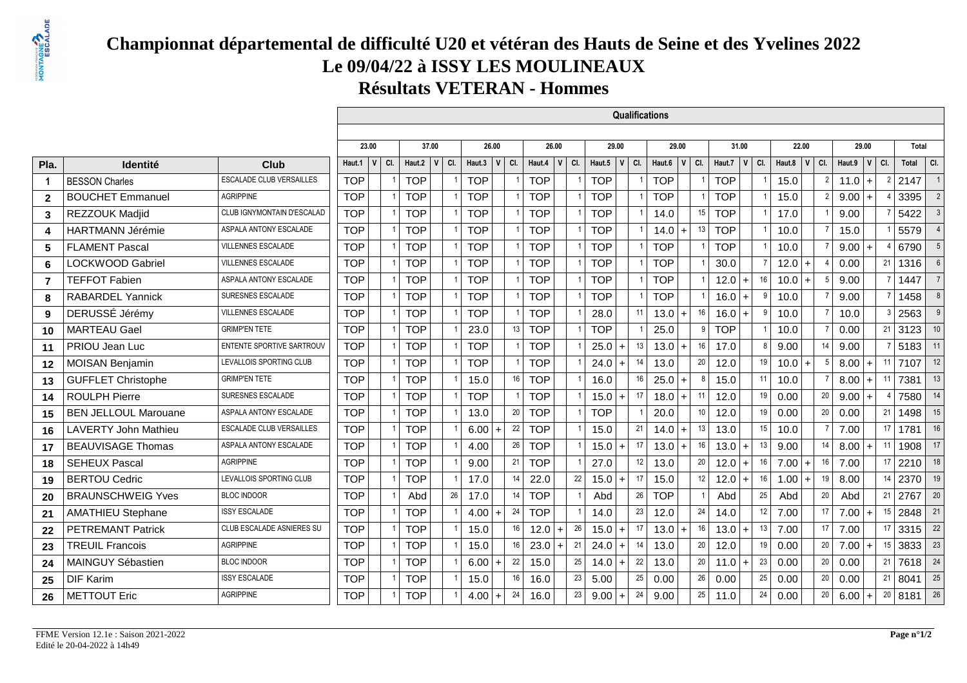#### **Championnat départemental de difficulté U20 et vétéran des Hauts de Seine et des Yvelines 2022Le 09/04/22 à ISSY LES MOULINEAUXRésultats VETERAN - Hommes**

 $\overline{\phantom{a}}$ 

|                |                             |                                  |            |                    |                |            |              |     |              |            |     |            |                |     |            | Qualifications      |    |              |     |             |     |          |           |                |          |           |                |           |                |
|----------------|-----------------------------|----------------------------------|------------|--------------------|----------------|------------|--------------|-----|--------------|------------|-----|------------|----------------|-----|------------|---------------------|----|--------------|-----|-------------|-----|----------|-----------|----------------|----------|-----------|----------------|-----------|----------------|
|                |                             |                                  |            |                    |                |            |              |     |              |            |     |            |                |     |            |                     |    |              |     |             |     |          |           |                |          |           |                |           |                |
|                |                             |                                  | 23.00      |                    |                | 37.00      |              |     |              | 26.00      |     | 26.00      |                |     | 29.00      |                     |    | 29.00        |     | 31.00       |     | 22.00    |           |                |          | 29.00     |                | Total     |                |
| Pla.           | <b>Identité</b>             | Club                             | Haut.1     | $\hat{\mathbf{v}}$ | CI.            | Haut. $2$  | $\mathsf{V}$ | CI. | Haut.3 $ V $ |            | CI. | Haut.4     | l v            | CI. | Haut.5     | CI.<br>$\mathsf{V}$ |    | Haut.6 $ V $ | CI. | V<br>Haut.7 | CI. | Haut.8   | CI.<br> V |                | Haut.9   | l v       | CI.            | Total     | $ $ CI.        |
| -1             | <b>BESSON Charles</b>       | <b>ESCALADE CLUB VERSAILLES</b>  | <b>TOP</b> |                    |                | <b>TOP</b> |              |     | <b>TOP</b>   |            |     | <b>TOP</b> |                |     | <b>TOP</b> |                     |    | <b>TOP</b>   |     | <b>TOP</b>  |     | 15.0     |           | $\overline{2}$ | 11.0     | $+$       | $\overline{2}$ | 2147      |                |
| $\mathbf{2}$   | <b>BOUCHET Emmanuel</b>     | <b>AGRIPPINE</b>                 | <b>TOP</b> |                    |                | <b>TOP</b> |              |     | <b>TOP</b>   |            |     | <b>TOP</b> |                |     | <b>TOP</b> |                     |    | <b>TOP</b>   |     | <b>TOP</b>  |     | 15.0     |           | $\mathcal{P}$  | 9.00     | $\ddot{}$ |                | 3395      | $\overline{2}$ |
| 3              | REZZOUK Madjid              | CLUB IGNYMONTAIN D'ESCALAD       | <b>TOP</b> |                    | $\overline{1}$ | <b>TOP</b> |              |     | <b>TOP</b>   |            |     | <b>TOP</b> |                |     | <b>TOP</b> |                     |    | 14.0         | 15  | <b>TOP</b>  |     | 17.0     |           |                | 9.00     |           | $\overline{7}$ | 5422      |                |
| 4              | <b>HARTMANN Jérémie</b>     | ASPALA ANTONY ESCALADE           | <b>TOP</b> |                    |                | <b>TOP</b> |              |     | <b>TOP</b>   |            |     | <b>TOP</b> |                |     | <b>TOP</b> |                     |    | 14.0<br>$+$  | 13  | <b>TOP</b>  |     | 10.0     |           |                | 15.0     |           |                | 5579      |                |
| 5              | <b>FLAMENT Pascal</b>       | <b>VILLENNES ESCALADE</b>        | <b>TOP</b> |                    |                | <b>TOP</b> |              |     | <b>TOP</b>   |            |     | <b>TOP</b> |                |     | <b>TOP</b> |                     |    | <b>TOP</b>   |     | <b>TOP</b>  |     | 10.0     |           |                | 9.00     | $\ddot{}$ |                | 6790      | $\overline{5}$ |
| 6              | LOCKWOOD Gabriel            | <b>VILLENNES ESCALADE</b>        | <b>TOP</b> |                    |                | <b>TOP</b> |              |     | <b>TOP</b>   |            |     | <b>TOP</b> |                |     | <b>TOP</b> |                     |    | <b>TOP</b>   |     | 30.0        |     | $12.0 +$ |           |                | 0.00     |           | 21             | 1316      | 6              |
| $\overline{7}$ | <b>TEFFOT Fabien</b>        | ASPALA ANTONY ESCALADE           | <b>TOP</b> |                    |                | <b>TOP</b> |              |     | <b>TOP</b>   |            |     | <b>TOP</b> |                |     | <b>TOP</b> |                     |    | <b>TOP</b>   |     | $12.0$ +    | 16  | $10.0 +$ |           |                | 9.00     |           | 7 <sup>1</sup> | 1447      |                |
| 8              | <b>RABARDEL Yannick</b>     | SURESNES ESCALADE                | <b>TOP</b> |                    |                | <b>TOP</b> |              |     | <b>TOP</b>   |            |     | <b>TOP</b> |                |     | <b>TOP</b> |                     |    | <b>TOP</b>   |     | $16.0$ +    | 9   | 10.0     |           |                | 9.00     |           | $\overline{7}$ | 1458      | 8              |
| 9              | DERUSSÉ Jérémy              | <b>VILLENNES ESCALADE</b>        | <b>TOP</b> |                    |                | <b>TOP</b> |              |     | <b>TOP</b>   |            |     | <b>TOP</b> |                |     | 28.0       |                     | 11 | $13.0$ +     | 16  | $16.0$ +    | 9   | 10.0     |           |                | 10.0     |           |                | 3 2563    | $\overline{9}$ |
| 10             | <b>MARTEAU Gael</b>         | <b>GRIMP'EN TETE</b>             | <b>TOP</b> |                    |                | <b>TOP</b> |              |     | 23.0         |            | 13  | <b>TOP</b> |                |     | <b>TOP</b> |                     |    | 25.0         |     | <b>TOP</b>  |     | 10.0     |           |                | 0.00     |           | 21             | 3123      | 10             |
| 11             | PRIOU Jean Luc              | <b>ENTENTE SPORTIVE SARTROUV</b> | <b>TOP</b> |                    |                | <b>TOP</b> |              |     | <b>TOP</b>   |            |     | <b>TOP</b> |                |     | 25.0       | $\ddot{+}$          | 13 | 13.0<br>$+$  | 16  | 17.0        | 8   | 9.00     |           | 14             | 9.00     |           |                | 5183      | 11             |
| 12             | <b>MOISAN Benjamin</b>      | LEVALLOIS SPORTING CLUB          | <b>TOP</b> |                    |                | <b>TOP</b> |              |     | <b>TOP</b>   |            |     | <b>TOP</b> |                |     | 24.0       |                     | 14 | 13.0         | 20  | 12.0        | 19  | 10.0     | $+$       | 5              | 8.00     | $\ddot{}$ | 11             | 7107      | 12             |
| 13             | <b>GUFFLET Christophe</b>   | <b>GRIMP'EN TETE</b>             | <b>TOP</b> |                    |                | <b>TOP</b> |              |     | 15.0         |            | 16  | <b>TOP</b> |                |     | 16.0       |                     | 16 | 25.0<br>l +  |     | 15.0        | 11  | 10.0     |           |                | 8.00     | $+$       | 11             | 7381      | $13$           |
| 14             | <b>ROULPH Pierre</b>        | SURESNES ESCALADE                | <b>TOP</b> |                    |                | <b>TOP</b> |              |     | <b>TOP</b>   |            |     | <b>TOP</b> |                |     | $15.0 +$   |                     | 17 | 18.0<br>$+$  | 11  | 12.0        | 19  | 0.00     |           | 20             | $9.00 +$ |           | 4              | 7580      | 14             |
| 15             | <b>BEN JELLOUL Marouane</b> | ASPALA ANTONY ESCALADE           | <b>TOP</b> |                    |                | <b>TOP</b> |              |     | 13.0         |            | 20  | <b>TOP</b> |                |     | <b>TOP</b> |                     |    | 20.0         | 10  | 12.0        | 19  | 0.00     |           | 20             | 0.00     |           | 21             | 1498      | 15             |
| 16             | <b>LAVERTY John Mathieu</b> | <b>ESCALADE CLUB VERSAILLES</b>  | <b>TOP</b> |                    |                | <b>TOP</b> |              |     | 6.00         |            | 22  | <b>TOP</b> |                |     | 15.0       |                     | 21 | 14.0         | 13  | 13.0        | 15  | 10.0     |           |                | 7.00     |           | 17             | 1781      | 16             |
| 17             | <b>BEAUVISAGE Thomas</b>    | ASPALA ANTONY ESCALADE           | <b>TOP</b> |                    |                | <b>TOP</b> |              |     | 4.00         |            | 26  | <b>TOP</b> |                |     | 15.0       | $+$                 | 17 | 13.0<br>$+$  | 16  | $13.0 +$    | 13  | 9.00     |           | 14             | 8.00     | $+$       | 11             | 1908      | 17             |
| 18             | <b>SEHEUX Pascal</b>        | <b>AGRIPPINE</b>                 | <b>TOP</b> |                    |                | <b>TOP</b> |              |     | 9.00         |            | 21  | <b>TOP</b> |                |     | 27.0       |                     | 12 | 13.0         | 20  | $12.0 +$    | 16  | 7.00     | $+$       | 16             | 7.00     |           | 17             | 2210      | 18             |
| 19             | <b>BERTOU Cedric</b>        | LEVALLOIS SPORTING CLUB          | <b>TOP</b> |                    |                | <b>TOP</b> |              |     | 17.0         |            | 14  | 22.0       |                | 22  | 15.0       |                     | 17 | 15.0         | 12  | 12.0<br>$+$ | 16  | 1.00     |           | 19             | 8.00     |           | 14             | 2370      | 19             |
| 20             | <b>BRAUNSCHWEIG Yves</b>    | <b>BLOC INDOOR</b>               | <b>TOP</b> |                    |                | Abd        |              | 26  | 17.0         |            | 14  | <b>TOP</b> |                |     | Abd        |                     | 26 | <b>TOP</b>   |     | Abd         | 25  | Abd      |           | 20             | Abd      |           | 21             | 2767      | $20\,$         |
| 21             | <b>AMATHIEU Stephane</b>    | <b>ISSY ESCALADE</b>             | <b>TOP</b> |                    | -1             | <b>TOP</b> |              |     | 4.00         | $\ddot{}$  | 24  | <b>TOP</b> |                |     | 14.0       |                     | 23 | 12.0         | 24  | 14.0        | 12  | 7.00     |           | 17             | 7.00     |           | 15             | 2848      | 21             |
| 22             | <b>PETREMANT Patrick</b>    | CLUB ESCALADE ASNIERES SU        | <b>TOP</b> |                    |                | <b>TOP</b> |              |     | 15.0         |            | 16  | 12.0       | $\ddot{}$      | 26  | 15.0       | $+$                 | 17 | 13.0<br>$+$  | 16  | $13.0 +$    | 13  | 7.00     |           | 17             | 7.00     |           | 17             | 3315      | $22\,$         |
| 23             | <b>TREUIL Francois</b>      | <b>AGRIPPINE</b>                 | <b>TOP</b> |                    |                | <b>TOP</b> |              |     | 15.0         |            | 16  | 23.0       | $\overline{ }$ | 21  | 24.0       |                     | 14 | 13.0         | 20  | 12.0        | 19  | 0.00     |           | 20             | 7.00     |           | 15             | 3833      | $23\,$         |
| 24             | <b>MAINGUY Sébastien</b>    | <b>BLOC INDOOR</b>               | <b>TOP</b> |                    |                | <b>TOP</b> |              |     | 6.00         |            | 22  | 15.0       |                | 25  | 14.0       |                     | 22 | 13.0         | 20  | 11.0        | 23  | 0.00     |           | 20             | 0.00     |           | 21             | 7618      | 24             |
| 25             | <b>DIF Karim</b>            | <b>ISSY ESCALADE</b>             | <b>TOP</b> |                    |                | <b>TOP</b> |              |     | 15.0         |            | 16  | 16.0       |                | 23  | 5.00       |                     | 25 | 0.00         | 26  | 0.00        | 25  | 0.00     |           | 20             | 0.00     |           | 21             | 8041      | $25\,$         |
| 26             | <b>METTOUT Eric</b>         | <b>AGRIPPINE</b>                 | <b>TOP</b> |                    |                | <b>TOP</b> |              |     | 4.00         | $\ddot{+}$ | 24  | 16.0       |                | 23  | $9.00 +$   |                     | 24 | 9.00         | 25  | 11.0        | 24  | 0.00     |           | 20             | 6.00     | $+$       |                | 20   8181 | 26             |